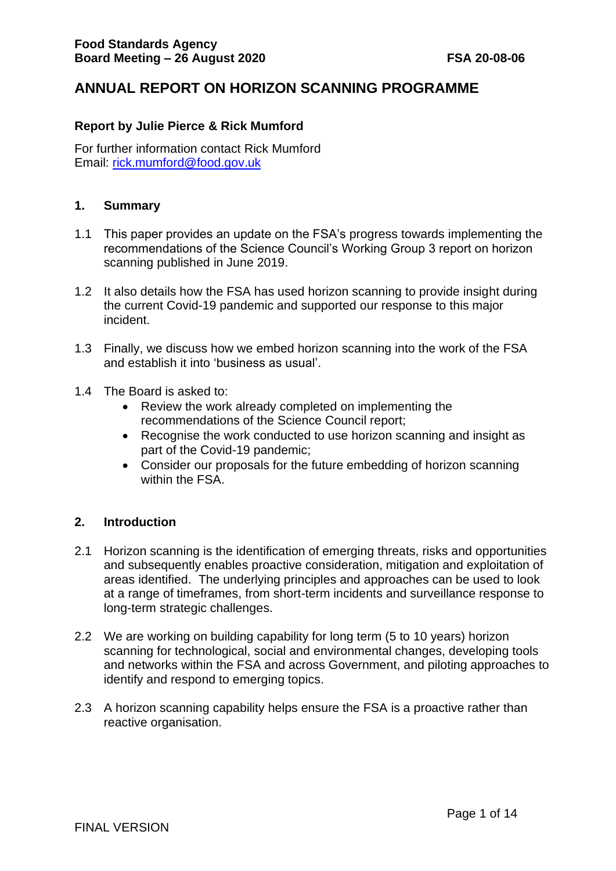# **ANNUAL REPORT ON HORIZON SCANNING PROGRAMME**

## **Report by Julie Pierce & Rick Mumford**

For further information contact Rick Mumford Email: [rick.mumford@food.gov.uk](mailto:rick.mumford@food.gov.uk)

#### **1. Summary**

- 1.1 This paper provides an update on the FSA's progress towards implementing the recommendations of the Science Council's Working Group 3 report on horizon scanning published in June 2019.
- 1.2 It also details how the FSA has used horizon scanning to provide insight during the current Covid-19 pandemic and supported our response to this major incident.
- 1.3 Finally, we discuss how we embed horizon scanning into the work of the FSA and establish it into 'business as usual'.
- 1.4 The Board is asked to:
	- Review the work already completed on implementing the recommendations of the Science Council report;
	- Recognise the work conducted to use horizon scanning and insight as part of the Covid-19 pandemic;
	- Consider our proposals for the future embedding of horizon scanning within the FSA.

## **2. Introduction**

- 2.1 Horizon scanning is the identification of emerging threats, risks and opportunities and subsequently enables proactive consideration, mitigation and exploitation of areas identified. The underlying principles and approaches can be used to look at a range of timeframes, from short-term incidents and surveillance response to long-term strategic challenges.
- 2.2 We are working on building capability for long term (5 to 10 years) horizon scanning for technological, social and environmental changes, developing tools and networks within the FSA and across Government, and piloting approaches to identify and respond to emerging topics.
- 2.3 A horizon scanning capability helps ensure the FSA is a proactive rather than reactive organisation.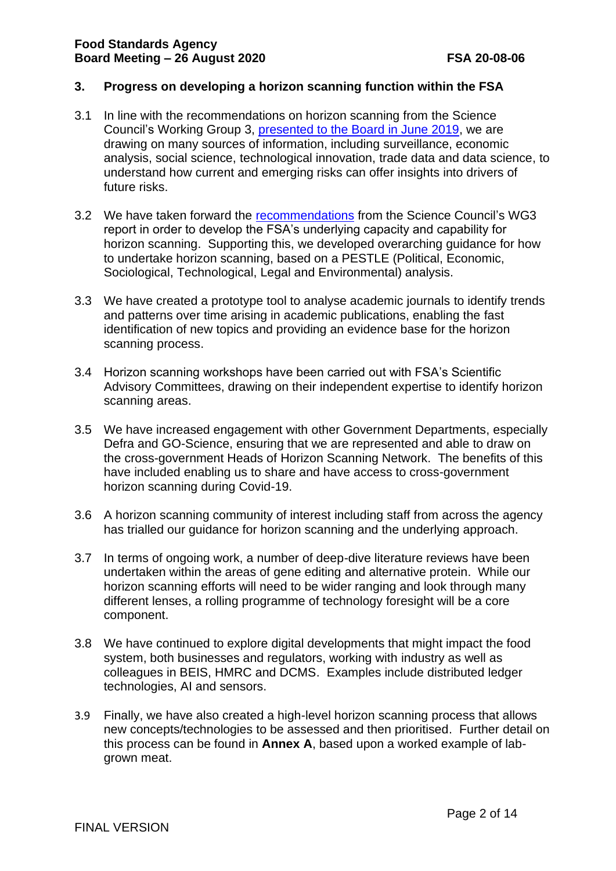# **3. Progress on developing a horizon scanning function within the FSA**

- 3.1 In line with the recommendations on horizon scanning from the Science Council's Working Group 3, [presented to the Board in June 2019,](https://www.food.gov.uk/sites/default/files/media/document/fsa-19-06-07-final-report-from-science-council-working-group-on-food-system-risks-and-horizon-scanning.pdf) we are drawing on many sources of information, including surveillance, economic analysis, social science, technological innovation, trade data and data science, to understand how current and emerging risks can offer insights into drivers of future risks.
- 3.2 We have taken forward the [recommendations](https://science-council.food.gov.uk/sites/default/files/fsascwg3finalreport.pdf) from the Science Council's WG3 report in order to develop the FSA's underlying capacity and capability for horizon scanning. Supporting this, we developed overarching guidance for how to undertake horizon scanning, based on a PESTLE (Political, Economic, Sociological, Technological, Legal and Environmental) analysis.
- 3.3 We have created a prototype tool to analyse academic journals to identify trends and patterns over time arising in academic publications, enabling the fast identification of new topics and providing an evidence base for the horizon scanning process.
- 3.4 Horizon scanning workshops have been carried out with FSA's Scientific Advisory Committees, drawing on their independent expertise to identify horizon scanning areas.
- 3.5 We have increased engagement with other Government Departments, especially Defra and GO-Science, ensuring that we are represented and able to draw on the cross-government Heads of Horizon Scanning Network. The benefits of this have included enabling us to share and have access to cross-government horizon scanning during Covid-19.
- 3.6 A horizon scanning community of interest including staff from across the agency has trialled our guidance for horizon scanning and the underlying approach.
- 3.7 In terms of ongoing work, a number of deep-dive literature reviews have been undertaken within the areas of gene editing and alternative protein. While our horizon scanning efforts will need to be wider ranging and look through many different lenses, a rolling programme of technology foresight will be a core component.
- 3.8 We have continued to explore digital developments that might impact the food system, both businesses and regulators, working with industry as well as colleagues in BEIS, HMRC and DCMS. Examples include distributed ledger technologies, AI and sensors.
- 3.9 Finally, we have also created a high-level horizon scanning process that allows new concepts/technologies to be assessed and then prioritised. Further detail on this process can be found in **Annex A**, based upon a worked example of labgrown meat.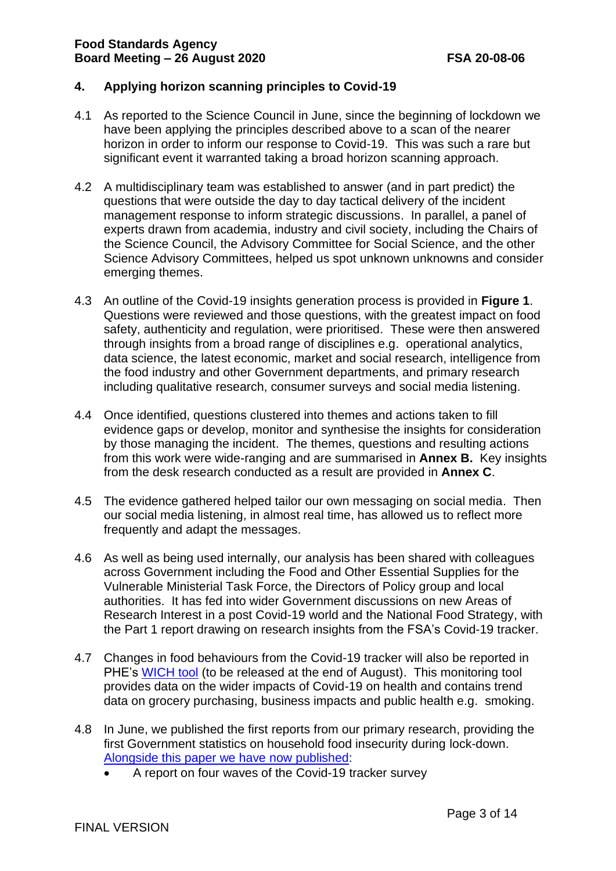# **4. Applying horizon scanning principles to Covid-19**

- 4.1 As reported to the Science Council in June, since the beginning of lockdown we have been applying the principles described above to a scan of the nearer horizon in order to inform our response to Covid-19. This was such a rare but significant event it warranted taking a broad horizon scanning approach.
- 4.2 A multidisciplinary team was established to answer (and in part predict) the questions that were outside the day to day tactical delivery of the incident management response to inform strategic discussions. In parallel, a panel of experts drawn from academia, industry and civil society, including the Chairs of the Science Council, the Advisory Committee for Social Science, and the other Science Advisory Committees, helped us spot unknown unknowns and consider emerging themes.
- 4.3 An outline of the Covid-19 insights generation process is provided in **Figure 1**. Questions were reviewed and those questions, with the greatest impact on food safety, authenticity and regulation, were prioritised. These were then answered through insights from a broad range of disciplines e.g. operational analytics, data science, the latest economic, market and social research, intelligence from the food industry and other Government departments, and primary research including qualitative research, consumer surveys and social media listening.
- 4.4 Once identified, questions clustered into themes and actions taken to fill evidence gaps or develop, monitor and synthesise the insights for consideration by those managing the incident. The themes, questions and resulting actions from this work were wide-ranging and are summarised in **Annex B.** Key insights from the desk research conducted as a result are provided in **Annex C**.
- 4.5 The evidence gathered helped tailor our own messaging on social media. Then our social media listening, in almost real time, has allowed us to reflect more frequently and adapt the messages.
- 4.6 As well as being used internally, our analysis has been shared with colleagues across Government including the Food and Other Essential Supplies for the Vulnerable Ministerial Task Force, the Directors of Policy group and local authorities. It has fed into wider Government discussions on new Areas of Research Interest in a post Covid-19 world and the National Food Strategy, with the Part 1 report drawing on research insights from the FSA's Covid-19 tracker.
- 4.7 Changes in food behaviours from the Covid-19 tracker will also be reported in PHE's [WICH tool](https://www.gov.uk/government/publications/wider-impacts-of-covid-19-on-health-monitoring-tool) (to be released at the end of August). This monitoring tool provides data on the wider impacts of Covid-19 on health and contains trend data on grocery purchasing, business impacts and public health e.g. smoking.
- 4.8 In June, we published the first reports from our primary research, providing the first Government statistics on household food insecurity during lock-down. [Alongside this paper we have](https://www.food.gov.uk/research/research-projects/the-covid-19-consumer-tracker) now published:
	- A report on four waves of the Covid-19 tracker survey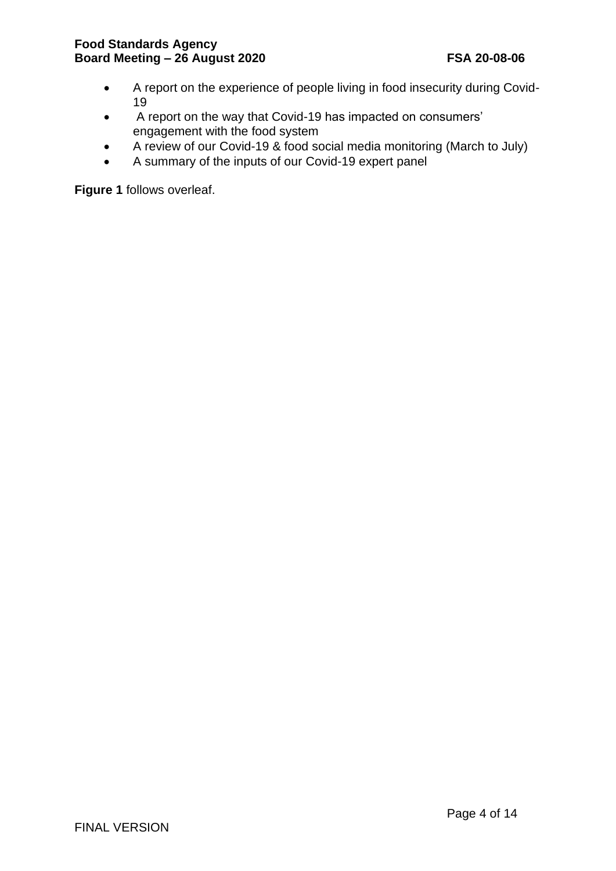- A report on the experience of people living in food insecurity during Covid-19
- A report on the way that Covid-19 has impacted on consumers' engagement with the food system
- A review of our Covid-19 & food social media monitoring (March to July)
- A summary of the inputs of our Covid-19 expert panel

**Figure 1** follows overleaf.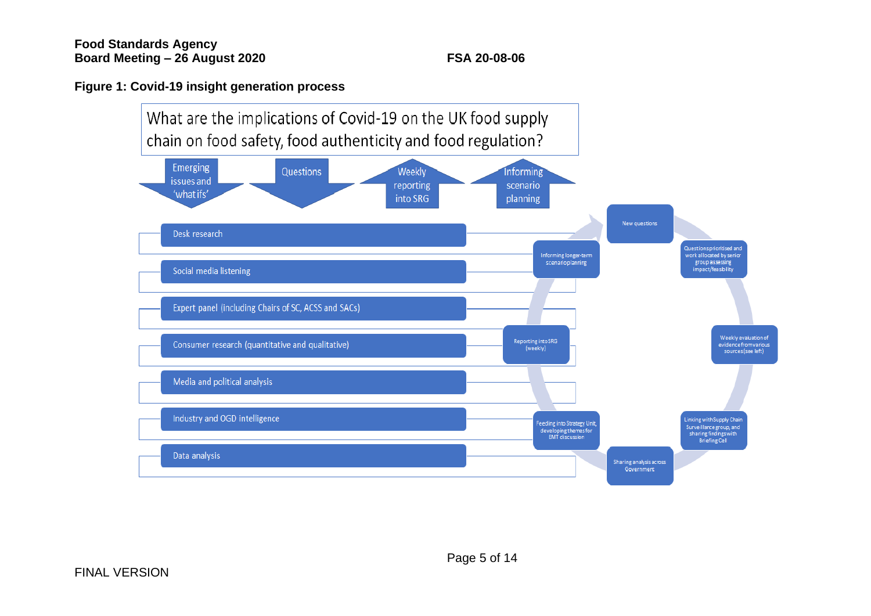# **Figure 1: Covid-19 insight generation process**

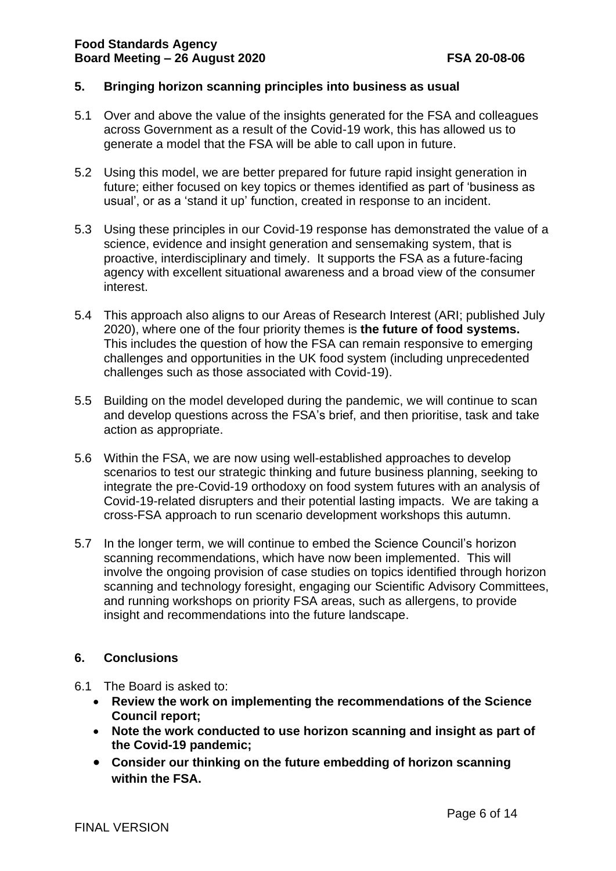# **5. Bringing horizon scanning principles into business as usual**

- 5.1 Over and above the value of the insights generated for the FSA and colleagues across Government as a result of the Covid-19 work, this has allowed us to generate a model that the FSA will be able to call upon in future.
- 5.2 Using this model, we are better prepared for future rapid insight generation in future; either focused on key topics or themes identified as part of 'business as usual', or as a 'stand it up' function, created in response to an incident.
- 5.3 Using these principles in our Covid-19 response has demonstrated the value of a science, evidence and insight generation and sensemaking system, that is proactive, interdisciplinary and timely. It supports the FSA as a future-facing agency with excellent situational awareness and a broad view of the consumer interest.
- 5.4 This approach also aligns to our Areas of Research Interest (ARI; published July 2020), where one of the four priority themes is **the future of food systems.**  This includes the question of how the FSA can remain responsive to emerging challenges and opportunities in the UK food system (including unprecedented challenges such as those associated with Covid-19).
- 5.5 Building on the model developed during the pandemic, we will continue to scan and develop questions across the FSA's brief, and then prioritise, task and take action as appropriate.
- 5.6 Within the FSA, we are now using well-established approaches to develop scenarios to test our strategic thinking and future business planning, seeking to integrate the pre-Covid-19 orthodoxy on food system futures with an analysis of Covid-19-related disrupters and their potential lasting impacts. We are taking a cross-FSA approach to run scenario development workshops this autumn.
- 5.7 In the longer term, we will continue to embed the Science Council's horizon scanning recommendations, which have now been implemented. This will involve the ongoing provision of case studies on topics identified through horizon scanning and technology foresight, engaging our Scientific Advisory Committees, and running workshops on priority FSA areas, such as allergens, to provide insight and recommendations into the future landscape.

## **6. Conclusions**

- 6.1 The Board is asked to:
	- **Review the work on implementing the recommendations of the Science Council report;**
	- **Note the work conducted to use horizon scanning and insight as part of the Covid-19 pandemic;**
	- **Consider our thinking on the future embedding of horizon scanning within the FSA.**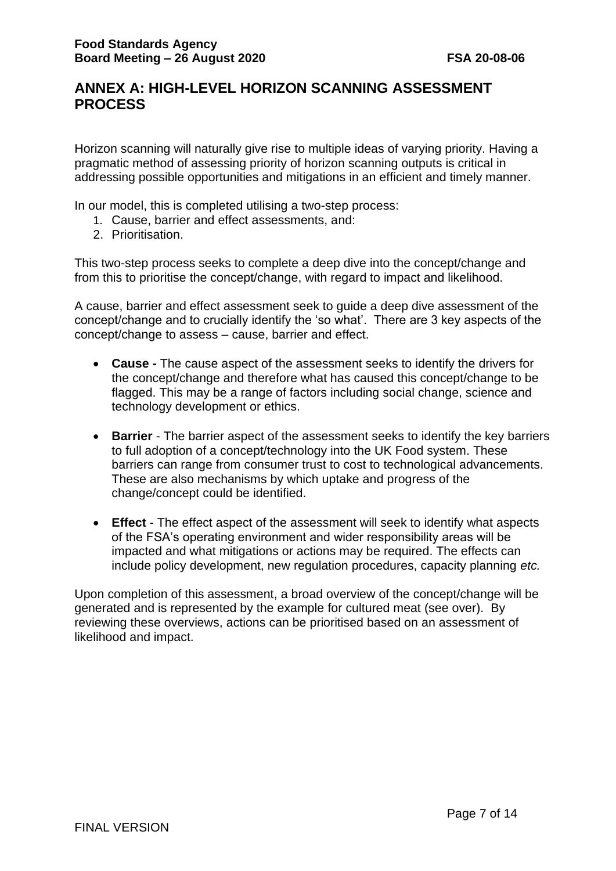# **ANNEX A: HIGH-LEVEL HORIZON SCANNING ASSESSMENT PROCESS**

Horizon scanning will naturally give rise to multiple ideas of varying priority. Having a pragmatic method of assessing priority of horizon scanning outputs is critical in addressing possible opportunities and mitigations in an efficient and timely manner.

In our model, this is completed utilising a two-step process:

- 1. Cause, barrier and effect assessments, and:
- 2. Prioritisation.

This two-step process seeks to complete a deep dive into the concept/change and from this to prioritise the concept/change, with regard to impact and likelihood.

A cause, barrier and effect assessment seek to guide a deep dive assessment of the concept/change and to crucially identify the 'so what'. There are 3 key aspects of the concept/change to assess – cause, barrier and effect.

- **Cause -** The cause aspect of the assessment seeks to identify the drivers for the concept/change and therefore what has caused this concept/change to be flagged. This may be a range of factors including social change, science and technology development or ethics.
- **Barrier** The barrier aspect of the assessment seeks to identify the key barriers to full adoption of a concept/technology into the UK Food system. These barriers can range from consumer trust to cost to technological advancements. These are also mechanisms by which uptake and progress of the change/concept could be identified.
- **Effect**  The effect aspect of the assessment will seek to identify what aspects of the FSA's operating environment and wider responsibility areas will be impacted and what mitigations or actions may be required. The effects can include policy development, new regulation procedures, capacity planning *etc.*

Upon completion of this assessment, a broad overview of the concept/change will be generated and is represented by the example for cultured meat (see over). By reviewing these overviews, actions can be prioritised based on an assessment of likelihood and impact.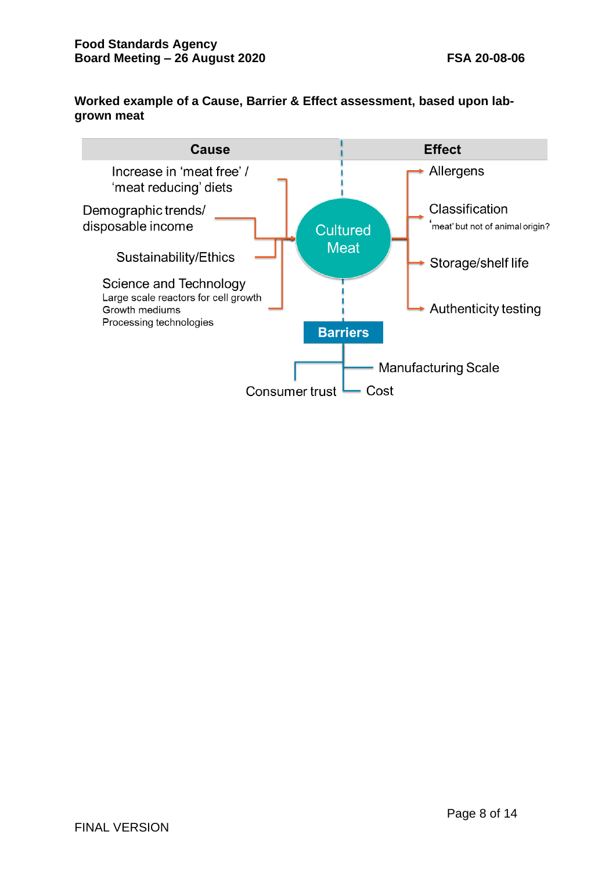# **Worked example of a Cause, Barrier & Effect assessment, based upon labgrown meat**

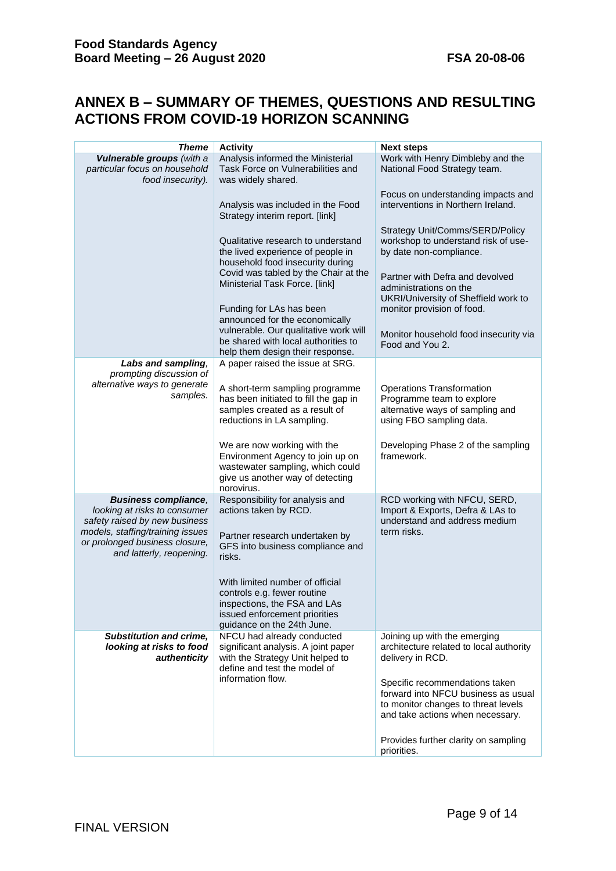# **ANNEX B – SUMMARY OF THEMES, QUESTIONS AND RESULTING ACTIONS FROM COVID-19 HORIZON SCANNING**

| <b>Theme</b>                                                                                                                                                                                   | <b>Activity</b>                                                                                                                                                                       | <b>Next steps</b>                                                                                                                                                                                           |
|------------------------------------------------------------------------------------------------------------------------------------------------------------------------------------------------|---------------------------------------------------------------------------------------------------------------------------------------------------------------------------------------|-------------------------------------------------------------------------------------------------------------------------------------------------------------------------------------------------------------|
| Vulnerable groups (with a                                                                                                                                                                      | Analysis informed the Ministerial                                                                                                                                                     | Work with Henry Dimbleby and the                                                                                                                                                                            |
| particular focus on household<br>food insecurity).                                                                                                                                             | Task Force on Vulnerabilities and<br>was widely shared.                                                                                                                               | National Food Strategy team.                                                                                                                                                                                |
|                                                                                                                                                                                                | Analysis was included in the Food<br>Strategy interim report. [link]                                                                                                                  | Focus on understanding impacts and<br>interventions in Northern Ireland.                                                                                                                                    |
|                                                                                                                                                                                                | Qualitative research to understand<br>the lived experience of people in<br>household food insecurity during<br>Covid was tabled by the Chair at the<br>Ministerial Task Force. [link] | Strategy Unit/Comms/SERD/Policy<br>workshop to understand risk of use-<br>by date non-compliance.<br>Partner with Defra and devolved<br>administrations on the                                              |
|                                                                                                                                                                                                | Funding for LAs has been<br>announced for the economically                                                                                                                            | UKRI/University of Sheffield work to<br>monitor provision of food.                                                                                                                                          |
|                                                                                                                                                                                                | vulnerable. Our qualitative work will<br>be shared with local authorities to<br>help them design their response.                                                                      | Monitor household food insecurity via<br>Food and You 2.                                                                                                                                                    |
| Labs and sampling,                                                                                                                                                                             | A paper raised the issue at SRG.                                                                                                                                                      |                                                                                                                                                                                                             |
| prompting discussion of<br>alternative ways to generate<br>samples.                                                                                                                            | A short-term sampling programme<br>has been initiated to fill the gap in<br>samples created as a result of<br>reductions in LA sampling.                                              | <b>Operations Transformation</b><br>Programme team to explore<br>alternative ways of sampling and<br>using FBO sampling data.                                                                               |
|                                                                                                                                                                                                | We are now working with the<br>Environment Agency to join up on<br>wastewater sampling, which could<br>give us another way of detecting<br>norovirus.                                 | Developing Phase 2 of the sampling<br>framework.                                                                                                                                                            |
| <b>Business compliance,</b><br>looking at risks to consumer<br>safety raised by new business<br>models, staffing/training issues<br>or prolonged business closure,<br>and latterly, reopening. | Responsibility for analysis and<br>actions taken by RCD.<br>Partner research undertaken by<br>GFS into business compliance and<br>risks.<br>With limited number of official           | RCD working with NFCU, SERD,<br>Import & Exports, Defra & LAs to<br>understand and address medium<br>term risks.                                                                                            |
|                                                                                                                                                                                                | controls e.g. fewer routine<br>inspections, the FSA and LAs<br>issued enforcement priorities<br>guidance on the 24th June.                                                            |                                                                                                                                                                                                             |
| <b>Substitution and crime,</b><br>looking at risks to food<br>authenticity                                                                                                                     | NFCU had already conducted<br>significant analysis. A joint paper<br>with the Strategy Unit helped to<br>define and test the model of<br>information flow.                            | Joining up with the emerging<br>architecture related to local authority<br>delivery in RCD.<br>Specific recommendations taken<br>forward into NFCU business as usual<br>to monitor changes to threat levels |
|                                                                                                                                                                                                |                                                                                                                                                                                       | and take actions when necessary.<br>Provides further clarity on sampling                                                                                                                                    |
|                                                                                                                                                                                                |                                                                                                                                                                                       | priorities.                                                                                                                                                                                                 |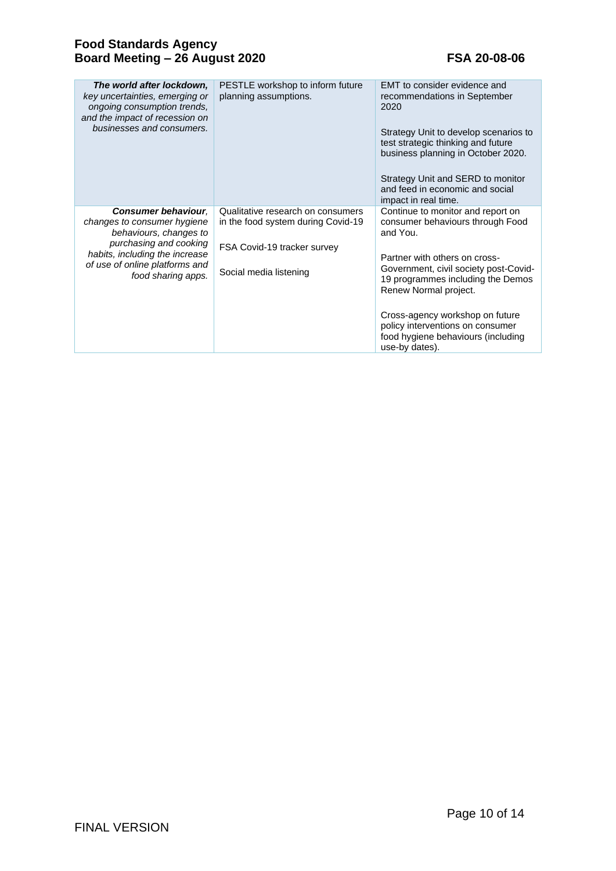| The world after lockdown,<br>key uncertainties, emerging or<br>ongoing consumption trends,<br>and the impact of recession on<br>businesses and consumers.                                               | PESTLE workshop to inform future<br>planning assumptions.                                                                        | EMT to consider evidence and<br>recommendations in September<br>2020<br>Strategy Unit to develop scenarios to<br>test strategic thinking and future<br>business planning in October 2020.<br>Strategy Unit and SERD to monitor<br>and feed in economic and social<br>impact in real time.                                                                |
|---------------------------------------------------------------------------------------------------------------------------------------------------------------------------------------------------------|----------------------------------------------------------------------------------------------------------------------------------|----------------------------------------------------------------------------------------------------------------------------------------------------------------------------------------------------------------------------------------------------------------------------------------------------------------------------------------------------------|
| <b>Consumer behaviour.</b><br>changes to consumer hygiene<br>behaviours, changes to<br>purchasing and cooking<br>habits, including the increase<br>of use of online platforms and<br>food sharing apps. | Qualitative research on consumers<br>in the food system during Covid-19<br>FSA Covid-19 tracker survey<br>Social media listening | Continue to monitor and report on<br>consumer behaviours through Food<br>and You.<br>Partner with others on cross-<br>Government, civil society post-Covid-<br>19 programmes including the Demos<br>Renew Normal project.<br>Cross-agency workshop on future<br>policy interventions on consumer<br>food hygiene behaviours (including<br>use-by dates). |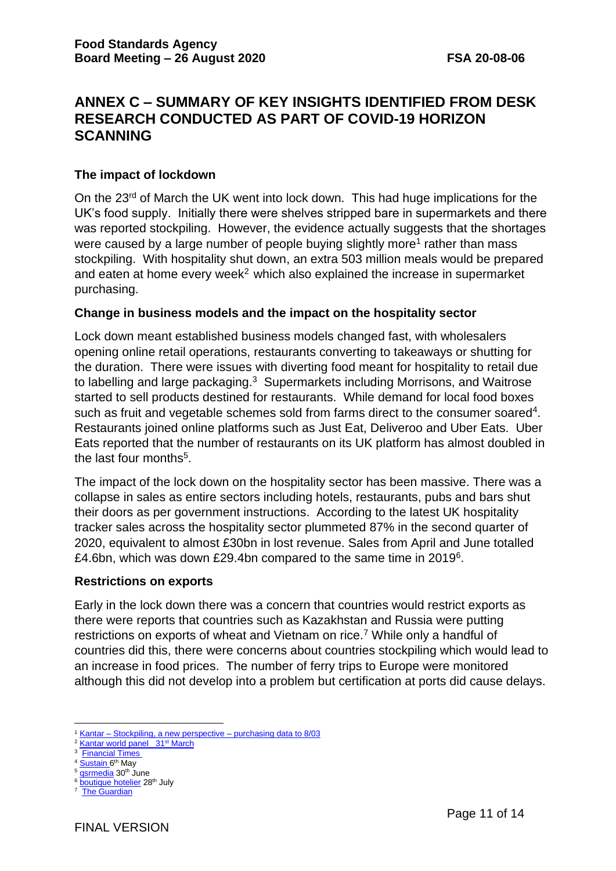# **ANNEX C – SUMMARY OF KEY INSIGHTS IDENTIFIED FROM DESK RESEARCH CONDUCTED AS PART OF COVID-19 HORIZON SCANNING**

## **The impact of lockdown**

On the 23<sup>rd</sup> of March the UK went into lock down. This had huge implications for the UK's food supply. Initially there were shelves stripped bare in supermarkets and there was reported stockpiling. However, the evidence actually suggests that the shortages were caused by a large number of people buying slightly more<sup>1</sup> rather than mass stockpiling. With hospitality shut down, an extra 503 million meals would be prepared and eaten at home every week<sup>2</sup> which also explained the increase in supermarket purchasing.

#### **Change in business models and the impact on the hospitality sector**

Lock down meant established business models changed fast, with wholesalers opening online retail operations, restaurants converting to takeaways or shutting for the duration. There were issues with diverting food meant for hospitality to retail due to labelling and large packaging.<sup>3</sup> Supermarkets including Morrisons, and Waitrose started to sell products destined for restaurants. While demand for local food boxes such as fruit and vegetable schemes sold from farms direct to the consumer soared<sup>4</sup>. Restaurants joined online platforms such as Just Eat, Deliveroo and Uber Eats. Uber Eats reported that the number of restaurants on its UK platform has almost doubled in the last four months<sup>5</sup>.

The impact of the lock down on the hospitality sector has been massive. There was a collapse in sales as entire sectors including hotels, restaurants, pubs and bars shut their doors as per government instructions. According to the latest UK hospitality tracker sales across the hospitality sector plummeted 87% in the second quarter of 2020, equivalent to almost £30bn in lost revenue. Sales from April and June totalled £4.6bn, which was down £29.4bn compared to the same time in 2019<sup>6</sup>.

## **Restrictions on exports**

Early in the lock down there was a concern that countries would restrict exports as there were reports that countries such as Kazakhstan and Russia were putting restrictions on exports of wheat and Vietnam on rice.<sup>7</sup> While only a handful of countries did this, there were concerns about countries stockpiling which would lead to an increase in food prices. The number of ferry trips to Europe were monitored although this did not develop into a problem but certification at ports did cause delays.

<sup>1</sup> Kantar – [Stockpiling, a new perspective –](https://foodgov-my.sharepoint.com/:p:/g/personal/michelle_patel_food_gov_uk/EXeTZBXm235DpGmBacZHpWQB0R0UnK33fxiYX_Ull9LarQ?e=yrB2uj) purchasing data to 8/03

<sup>&</sup>lt;sup>2</sup> [Kantar world panel](https://www.kantarworldpanel.com/en) 31<sup>st</sup> March

<sup>&</sup>lt;sup>3</sup> [Financial Times](https://www.ft.com/content/bb481784-6d25-11ea-89df-41bea055720b)

<sup>&</sup>lt;sup>4</sup> [Sustain 6](https://www.sustainweb.org/news/may20_foodfoundation_veg_box_sales_covid/)<sup>th</sup> May

<sup>&</sup>lt;sup>5</sup> asrmedia 30<sup>th</sup> June

<sup>&</sup>lt;sup>6</sup> **boutique** hotelier 28<sup>th</sup> July 7  [The Guardian](https://www.theguardian.com/global-development/2020/mar/26/coronavirus-measures-could-cause-global-food-shortage-un-warns)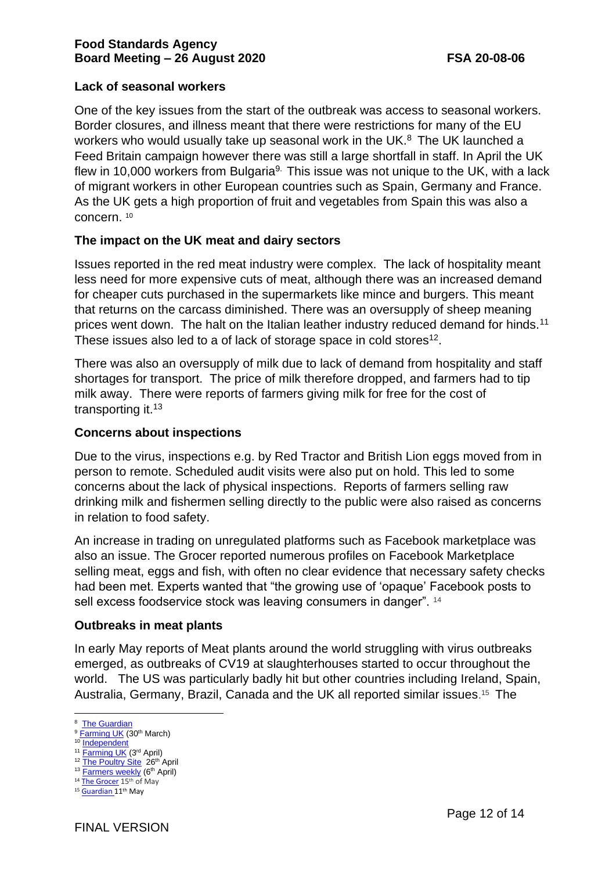# **Lack of seasonal workers**

One of the key issues from the start of the outbreak was access to seasonal workers. Border closures, and illness meant that there were restrictions for many of the EU workers who would usually take up seasonal work in the UK.<sup>8</sup> The UK launched a Feed Britain campaign however there was still a large shortfall in staff. In April the UK flew in 10,000 workers from Bulgaria<sup>9.</sup> This issue was not unique to the UK, with a lack of migrant workers in other European countries such as Spain, Germany and France. As the UK gets a high proportion of fruit and vegetables from Spain this was also a concern. <sup>10</sup>

# **The impact on the UK meat and dairy sectors**

Issues reported in the red meat industry were complex. The lack of hospitality meant less need for more expensive cuts of meat, although there was an increased demand for cheaper cuts purchased in the supermarkets like mince and burgers. This meant that returns on the carcass diminished. There was an oversupply of sheep meaning prices went down. The halt on the Italian leather industry reduced demand for hinds.<sup>11</sup> These issues also led to a of lack of storage space in cold stores $12$ .

There was also an oversupply of milk due to lack of demand from hospitality and staff shortages for transport. The price of milk therefore dropped, and farmers had to tip milk away. There were reports of farmers giving milk for free for the cost of transporting it.<sup>13</sup>

# **Concerns about inspections**

Due to the virus, inspections e.g. by Red Tractor and British Lion eggs moved from in person to remote. Scheduled audit visits were also put on hold. This led to some concerns about the lack of physical inspections. Reports of farmers selling raw drinking milk and fishermen selling directly to the public were also raised as concerns in relation to food safety.

An increase in trading on unregulated platforms such as Facebook marketplace was also an issue. The Grocer reported numerous profiles on Facebook Marketplace selling meat, eggs and fish, with often no clear evidence that necessary safety checks had been met. Experts wanted that "the growing use of 'opaque' Facebook posts to sell excess foodservice stock was leaving consumers in danger". <sup>14</sup>

## **Outbreaks in meat plants**

In early May reports of Meat plants around the world struggling with virus outbreaks emerged, as outbreaks of CV19 at slaughterhouses started to occur throughout the world. The US was particularly badly hit but other countries including Ireland, Spain, Australia, Germany, Brazil, Canada and the UK all reported similar issues.<sup>15</sup> The

<sup>&</sup>lt;sup>8</sup> [The Guardian](https://www.theguardian.com/environment/2020/mar/20/farmers-call-for-land-army-to-sustain-uk-food-production-during-coronavirus-crisis)

<sup>&</sup>lt;sup>9</sup> [Farming UK](https://www.farminguk.com/news/government-urged-to-charter-planes-to-bring-farm-workers-to-uk_55326.html) (30<sup>th</sup> March)

<sup>10</sup> Independent

<sup>&</sup>lt;sup>11</sup> [Farming UK](https://www.farminguk.com/news/covid-19-impact-on-red-meat-sector-is-complex-and-far-reaching-_55353.html) (3<sup>rd</sup> April) <sup>12</sup> [The Poultry Site](https://thepoultrysite.com/news/2020/04/worlds-biggest-cold-storage-supplier-could-reach-full-uk-capacity-in-3-weeks) 26<sup>th</sup> April

<sup>13</sup> [Farmers weekly](https://www.fwi.co.uk/business/markets-and-trends/dairy-markets/coronavirus-farmers-dump-milk-as-supply-chain-backs-up) (6<sup>th</sup> April)

<sup>&</sup>lt;sup>14</sup> [The Grocer](https://www.thegrocer.co.uk/food-safety/food-sold-over-facebook-marketplace-is-endangering-consumers-say-experts/604896.article) 15<sup>th</sup> of May

<sup>15</sup> [Guardian 1](https://www.theguardian.com/environment/2020/may/11/chaotic-and-crazy-meat-plants-around-the-world-struggle-with-virus-outbreaks)1<sup>th</sup> May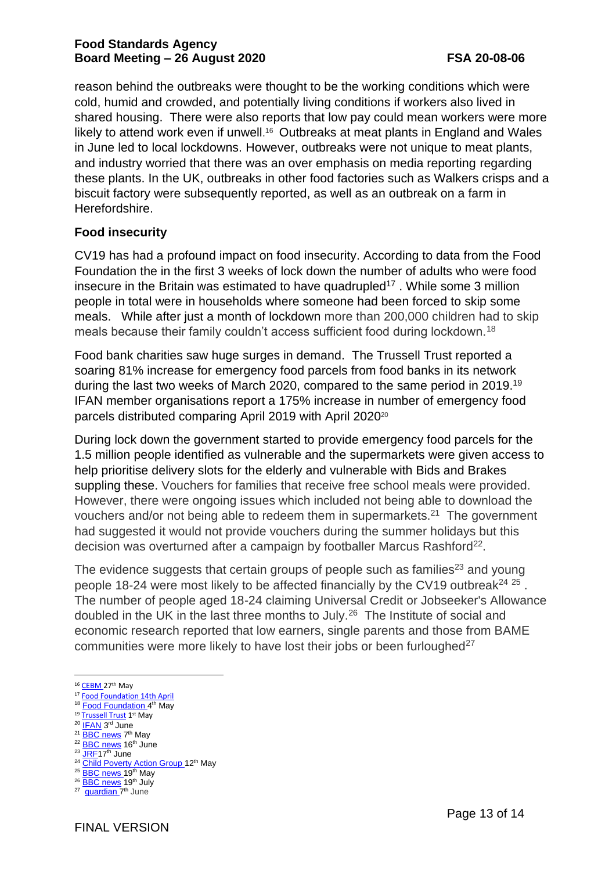reason behind the outbreaks were thought to be the working conditions which were cold, humid and crowded, and potentially living conditions if workers also lived in shared housing. There were also reports that low pay could mean workers were more likely to attend work even if unwell.<sup>16</sup> Outbreaks at meat plants in England and Wales in June led to local lockdowns. However, outbreaks were not unique to meat plants, and industry worried that there was an over emphasis on media reporting regarding these plants. In the UK, outbreaks in other food factories such as Walkers crisps and a biscuit factory were subsequently reported, as well as an outbreak on a farm in Herefordshire.

# **Food insecurity**

CV19 has had a profound impact on food insecurity. According to data from the Food Foundation the in the first 3 weeks of lock down the number of adults who were food insecure in the Britain was estimated to have quadrupled<sup>17</sup>. While some 3 million people in total were in households where someone had been forced to skip some meals. While after just a month of lockdown more than 200,000 children had to skip meals because their family couldn't access sufficient food during lockdown.<sup>18</sup>

Food bank charities saw huge surges in demand. The Trussell Trust reported a soaring 81% increase for emergency food parcels from food banks in its network during the last two weeks of March 2020, compared to the same period in 2019.<sup>19</sup> IFAN member organisations report a 175% increase in number of emergency food parcels distributed comparing April 2019 with April 2020<sup>20</sup>

During lock down the government started to provide emergency food parcels for the 1.5 million people identified as vulnerable and the supermarkets were given access to help prioritise delivery slots for the elderly and vulnerable with Bids and Brakes suppling these. Vouchers for families that receive free school meals were provided. However, there were ongoing issues which included not being able to download the vouchers and/or not being able to redeem them in supermarkets.<sup>21</sup> The government had suggested it would not provide vouchers during the summer holidays but this decision was overturned after a campaign by footballer Marcus Rashford<sup>22</sup>.

The evidence suggests that certain groups of people such as families<sup>23</sup> and young people 18-24 were most likely to be affected financially by the CV19 outbreak<sup>24 25</sup>. The number of people aged 18-24 claiming Universal Credit or Jobseeker's Allowance doubled in the UK in the last three months to July.<sup>26</sup> The Institute of social and economic research reported that low earners, single parents and those from BAME communities were more likely to have lost their jobs or been furloughed<sup>27</sup>

- 17 [Food Foundation 14th April](https://foodfoundation.org.uk/wp-content/uploads/2020/04/Report_COVID19FoodInsecurity-final.pdf)
- <sup>18</sup> [Food Foundation 4](https://foodfoundation.org.uk/vulnerable-groups/)<sup>th</sup> May
- <sup>19</sup> [Trussell Trust](https://www.trusselltrust.org/2020/05/01/coalition-call/) 1<sup>st</sup> May
- <sup>20</sup> [IFAN](https://www.foodaidnetwork.org.uk/ifan-data-since-covid-19) 3<sup>rd</sup> June
- <sup>21</sup> [BBC news](https://www.bbc.co.uk/news/education-52551464) 7 th May
- <sup>22</sup> [BBC news](https://www.bbc.co.uk/news/uk-53065806) 16th June <sup>23</sup> JRE17<sup>th</sup> June
- <sup>24</sup> [Child Poverty Action Group 1](https://cpag.org.uk/news-blogs/news-listings/families-hit-harder-because-nothing-children-covid-19-response)2<sup>th</sup> May
- <sup>25</sup> [BBC news 1](https://www.bbc.co.uk/news/business-52717942)9<sup>th</sup> May
- <sup>26</sup> [BBC news](https://www.bbc.co.uk/news/uk-53430775) 19<sup>th</sup> July

<sup>16</sup> [CEBM 2](https://www.cebm.net/covid-19/what-explains-the-high-rate-of-sars-cov-2-transmission-in-meat-and-poultry-facilities/)7th May

<sup>&</sup>lt;sup>27</sup> [guardian 7](https://www.theguardian.com/world/2020/jun/07/bame-and-single-parent-families-worst-hit-financially-by-covid-19)<sup>th</sup> June